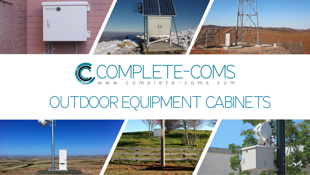

# CCOMPLETE-COMS

## OUTDOOR EQUIPMENT CABINETS

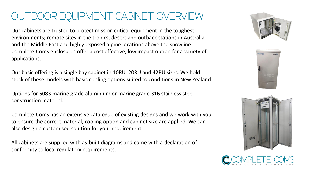#### OUTDOOR EQUIPMENT CABINET OVERVIEW

Our cabinets are trusted to protect mission critical equipment in the toughest environments; remote sites in the tropics, desert and outback stations in Australia and the Middle East and highly exposed alpine locations above the snowline. Complete-Coms enclosures offer a cost effective, low impact option for a variety of applications.

Our basic offering is a single bay cabinet in 10RU, 20RU and 42RU sizes. We hold stock of these models with basic cooling options suited to conditions in New Zealand.

Options for 5083 marine grade aluminium or marine grade 316 stainless steel construction material.

Complete-Coms has an extensive catalogue of existing designs and we work with you to ensure the correct material, cooling option and cabinet size are applied. We can also design a customised solution for your requirement.

All cabinets are supplied with as-built diagrams and come with a declaration of conformity to local regulatory requirements.







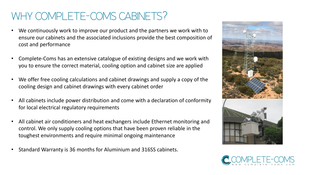#### WHY COMPLETE-COMS CABINETS?

- We continuously work to improve our product and the partners we work with to ensure our cabinets and the associated inclusions provide the best composition of cost and performance
- Complete-Coms has an extensive catalogue of existing designs and we work with you to ensure the correct material, cooling option and cabinet size are applied
- We offer free cooling calculations and cabinet drawings and supply a copy of the cooling design and cabinet drawings with every cabinet order
- All cabinets include power distribution and come with a declaration of conformity for local electrical regulatory requirements
- All cabinet air conditioners and heat exchangers include Ethernet monitoring and control. We only supply cooling options that have been proven reliable in the toughest environments and require minimal ongoing maintenance
- Standard Warranty is 36 months for Aluminium and 316SS cabinets.